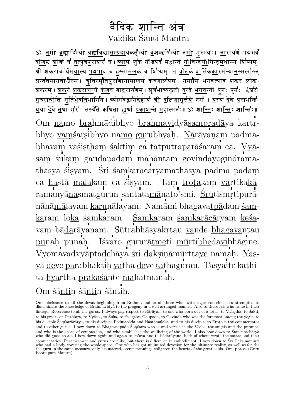## वैदिक शान्ति अंत्र Vaidika Śānti Mantra

ॐ नमो ब्रह्मादिभ्यो ब्रह्मविद्यासम्प्रदायकर्तृभ्यो वंशऋषिभ्यो नमो गुरुभ्यः । नारायणं पद्मभवं व<u>शि</u>ष्ठं <u>श</u>क्तिं च तत्पुत्रपुराशरं च । <u>व्या</u>सं शुकं गौडपदं महान्तं <u>गो</u>विन्द<u>यो</u>गिन्द<u>्रम</u>थास्य शिष्यम् । .<br>श्री शंकराचार्यम<u>था</u>स्य <u>पद्मप</u>ादं च हस्त<u>ामल</u>कं च शिष्यम् ⊦तं <u>त्रोट</u>कं <u>व</u>ार्तिक<u>का</u>रमन्या<u>न</u>स्मत्युरून् सन्तत<u>म</u>ानतोऽस्मि । श्रुतिस्मृतिपुराणाना<u>म</u>ालयं <u>करु</u>णालयम् । नमामि भगव<u>त्पा</u>दं <u>शंक</u>रं लो<u>क</u>-शंकरम् । <u>शंक</u>रं <u>शंकराचा</u>र्यं <u>केश</u>वं बा<u>द</u>रायणम् । सूत्रभाष्यकृतौ वन्दे <u>भगव</u>न्तौ पुनः पुन॑ः । ईश्वरो गुरुरा<u>त्मे</u>ति मूर्त<u>िभे</u>द<u>व</u>िभागिने । व्योमवद्<mark>या</mark>प्त<u>दे</u>हाय <u>श्री दक्षिणा</u>मूर्त्तये नर्मः । <u>य</u>स्य <u>दे</u>वे पराभक्तिः <u>य</u>था <u>दे</u>वे तथा गुरौ । तस्यैते कथिता <u>ह्य</u>र्था <u>प्रकाश</u>न्ते <u>म</u>हात्मनः॥ ॐ शा<u>न्ति</u>ः शा<u>न्तिः</u> शान्तिः॥ Om $\underline{\textit{namo}}$  brahmādibhyo brahmavidyāsampradā<br/>ya kartrbhyo vamśarsibhyo namo gurubhyah. Nārāyanam padmabhavam vasistham saktim ca tatputraparās aram ca. Vyāsam śukam gaudapadam mahāntam govindayogindramathāsya sisyam. Srī samkarācāryamathāsya padma pādam ca hastā malakam ca śisyam. Tam trotakam vārtikakāramanyānas matgurun santatamānato'smi. Srutismrtipurāņānāmālayam karuņālayam. Namāmi bhagavatpādam śamkaram loka samkaram. Samkaram samkarācāryam kesavam bā<u>da</u>rāyaṇam. Sūtrabhāṣyakṛtau <u>va</u>nde <u>bhagava</u>ntau punah punah. Isvaro gururātmeti mūrtibhedavibhagine. Vyomavadvyāptadehāya śrī daksināmūrttaye namah. Yasya deve parābhaktih yathā deve tathāgurau. Tasyaite kathitā hyarthā prakāśante mahātmanah.

Om sāntih sāntih sāntih.

Om, obeisance to all the devas beginning from Brahma and to all those who, with eager consciousness attempted to disseminate the knowledge of Brahmavidya to the progeny in a well arranged manner. Also to those rsis who came in their lineage. Reverence to all the gurus. I always pay respect to Nārāyan, to one who born out of a lotus, to Vasistha, to Sakti, to his great son Parāšara, to Vyāsa, to Śuka, to the great Gaupada, to Govinda who was the foremost among the yogis, to his disciple Śamkarācārya, to his disciples Padmapāda and Hastāmalaka, and to his disciple, to Troțaka the commentator and to other gurus. I bow down to Bhagavadpada Śamkara who is well versed in the Vedas, the smrtis and the puranas, and who is the ocean of compassion, and who established the wellbeing of the world. I also bow down to Śamkarāchārya who did good to all. I bow down again and again to kesava and to badarayana, both of whom wrote the sutras and their commentaries. Parameshwar and gurus are alike, but there is difference in embodiment. I bow down to Śri Daksināmūrti<br>who had a body covering the whole space. One who has got unlimited devotion for the ultimate reality, as the guru in the same measure, only his uttered, secret meanings enlighten the hearts of the great souls. Om, peace. (Guru Parampara Mantra)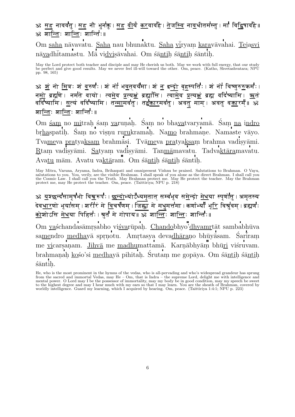## ॐ सह नावव॑तु । सह नौ भुन॑क़ु । सह <u>वी</u>र्यं <u>कर</u>वाव॑है । <u>तेजस्वि</u> ना<u>व</u>र्धातम॑स्तु । मा॑ विद्विषाव॑है ॥ : अत्रोति: शा<u>न्ति</u>: शान्ति:॥

Om  $\underline{\text{saha}}$ nāvavatu.  $\underline{\text{Saha}}$ nau bhunaktu.  $\underline{\text{Saha}}$ vīryam<br/>  $\underline{\text{kara}}$ vāvahai. Tejasvi nā<u>va</u>dhītamastu. Mā vi<u>dvi</u>sāvahai. Om śā<u>nti</u>ḥ śāntiḥ śāntiḥ.

May the Lord protect both teacher and disciple and may He cherish us both. May we work with full energy, that our study<br>be perfect and give good results. May we never feel ill-will toward the other. Om, peace. (Katho, Shve pp. 98, 165)

. For example, for example, the example of  $\mathcal{M}$  ,  $\mathcal{M}$  is a bounded of  $\mathcal{M}$  ,  $\mathcal{M}$ nmo b}Z. no baz. (vmv b) baz. (varialistica) baz. (ved b) ved baz. (varialistica) baz. (ved b) ved b vEd yAEm. s(y\ vEd yAEm. tmAmvt. tÄArmvt. avt mAm^. avt vÄArm^; : शान्तिः शान्तिः शान्ति $\cdot$ ॥

Om <u>śam</u> no <u>mi</u>traḥ śam <u>va</u>ruṇaḥ. Śaṃ no bha<u>va</u>tvaryamā. Śaṃ <u>na</u> i<u>ndro</u> br<u>ha</u>spatih. Śam no visnu ru<u>ru</u>kramah. Na<u>mo</u> brahmane. Namaste vāyo. Tva<u>me</u>va pratyaksam brahmāsi. Tvāmeva pratyaksam brahma vadisyāmi.  $\underline{\text{R}}$ tam vadisyāmi. Satyam vadisyāmi. Tan<u>mā</u>mavatu. Tadva<u>ktāra</u>mavatu. Ava<u>tu</u> mām. Avatu va<u>ktā</u>ram. Om śā<u>nti</u>ḥ śā<u>nti</u>ḥ śāntiḥ.

May Mitra, Varuna, Aryama, Indra, Brihaspati and omnipresent Vishnu be praised. Salutations to Brahman. O Vayu, salutations to you. You, verily, are the visible Brahman. I shall speak of you alone as the direct Brahman. I shall call you<br>the Cosmic Law. I shall call you the Truth. May Brahman protect me. May He protect the teacher. M protect me, may He protect the teacher. Om, peace. (Taittiriya; NPU p. 218)

tat at the component of the component of the component of the component of the component of the component of th देव<u>धार</u>णो भूयासम् । शरीरं मे <u>व</u>िचर्षणम् । जिह्वा मे मधुमत्तमा । कर्णाभ्यां भू<u>रि</u> विश्रुवम् । ब्रह्मणः कोशोऽसि मेधया पिहितः । युतं मे गोपाय॥ ॐ शान्तिः शान्तिः शान्तिः॥

Om yaśchandasāmrṣabho vi<u>śva</u>rūpaḥ. <u>Chando</u>bhyo'<u>dhyamr</u>tāt sambabhūva sa<u>me</u>ndro <u>medha</u>yā sprņotu. Amrtasya deva<u>dhāra</u>ņo bhūyāsam. Śarīram me vicarsaṇam.  $\underline{Jihv\bar{a}}$ me madhumattamā. Karṇābhyāṃ bhūri viśruvam. brahmanaḥ <u>ko</u>śo'si <u>medha</u>yā pihitaḥ. Śrutaṃ me gopāya. Om śā<u>nti</u>ḥ śā<u>nti</u>ḥ  $\ddot{\text{a}}$ ntih.

He, who is the most prominent in the hymns of the vedas, who is all-pervading and who's widespread grandeur has sprung from the sacred and immortal Vedas, may He – Om, that is Indra – the supreme Lord, delight me with intelligence and<br>mental power. O Lord may I be the possessor of immortality, may my body be in good condition, may my speec worldly intelligence. Guard my learning, which I acquired by hearing. Om, peace. (Taittiriya 1:4:1; NPU p. 223)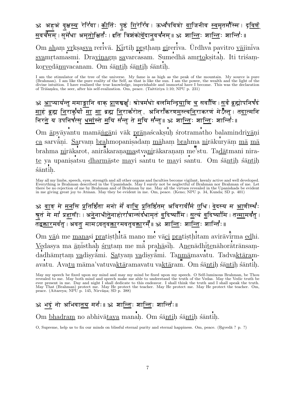## ॐ अहअं वृक्ष<u>स्य</u> रेरि॑वा ⊢<u>क</u>ीर्तिः पृष्ठं <u>गि</u>रेरि॑व ⊢ ऊर्ध्वंपवित्रो <u>व</u>ाजिनीव <u>स्व</u>मृतम॑स्मि ⊢द्र<u>विण</u>ँ <u>स</u>वर्चसम् । सुमेधा अमृ<u>तो</u>क्षितः । इति त्रिशंको<u>र्वे</u>दानुवर्चनम्॥ ॐ शा<u>न्तिः शान्तिः</u> शान्तिः ॥

Om $\underline{\text{aham}}$  v<br/>rksasya rerivā. Kīrtih prstham gireriva. Ūrdhva pavitro vājinīva  $\underline{\textbf{svam}}$ rtamasmi. Dra<u>viņa</u>g<br/>m $\underline{\textbf{sa}}$ varcasam. Sumedhā am<u>rto</u>kṣitaḥ. Iti triśamko<u>rvedānu</u>vacanam. Om santih santih santih.

I am the stimulator of the tree of the universe. My fame is as high as the peak of the mountain. My source is pure (Brahman). I am like the pure reality of the Self, as that is like the sun. I am the power, the wealth and divine intuition. I have realized the true knowledge, imperishable and immortal have I become. This was the declaration of Triśamku, the seer, after his self-realization. Om, peace. (Taittiriya 1:10; NPU p. 231)

<u>ॐ आप्यायन्तु</u> ममाङ्गानि वाक् <u>प्रा</u>णस्रक्षुः श्रोत्रम॑थो बलमिन्द्र<u>िया</u>णि <u>च</u> सर्वाणि । <u>स</u>र्वं ब्रह्मोपनिष॑दं माहं ब्रह्म निराकुर्यां मा मा ब्रह्म निराकरोत, अनिरांकरणमस्त्वनिराकरणं मेऽस्तु । तदात्मनि निर<u>ते</u> य उपनिषत्सु <u>धर्म</u>ास्ते <u>म</u>यि सन्तु ते <u>म</u>यि सन्तु॥ ॐ श<u>ान्ति</u>ः शा<u>न्तिः</u> शान्तिः॥

Om  $\underline{\mathrm{a}}$ py<br/>āyantu mamā<u>ngā</u>ni vāk <u>prā</u>naścakṣuḥ śrotramatho balamindriyāṇi  $\underline{\mathrm{ca}}$ sarvāņi. Sarvam brahmopanis<br/>adam māham brahma nirākuryām mā mā brahma  $\underline{\text{n}i}$ rākarot, anirākara<br/>ņamastvanirākaraṇaṃ me'stu. Tadātmani nirate ya upanisatsu dharmāste mayi santu te mayi santu. Om śāntih śāntih śāntih.

<u>ॐ वाङ मे मनसि प्रतिष्ठिता मनो में वाचि प्रतिष्ठितम अविरावीर्म एधि । वेदस्य म आणीस्थ</u>ः श्रुतं मे मा॑ प्रहासीः । अ<u>ने</u>नाधी<u>ते</u>नाहोरा॑त्रान्संद॑थामृतं <u>व</u>दिष्या॑मि । <u>स</u>त्यं <u>व</u>दिष्या॑मि । त<u>न्म</u>ामर्वतु । —<br>तद्<u>वकार</u>मवतु । अवतु मामऽवतुव<u>क</u>्तारमवतुव<u>क्त</u>ारम् ॥ ॐ श्रा<u>न्ति</u>ः शा<u>न्ति</u>ः शान्तिः॥

Om vān me manasi pratisthitā mano me vāci pratisthitam avirāvirma edhi. Vedasya ma anisthah srutam me ma prahasih. Anenadhitenahoratransamdadhāmrtam vadisyāmi. Satyam vadisyāmi. Tanmāmavatu. Tadvaktāramavatu. Avatu māma'vatuvaktāramavatu vaktāram. Om śāntih śāntih śāntih.

May my speech be fixed upon my mind and may my mind be fixed upon my speech. O Self-luminous Brahman, be Thou revealed to me. May both mind and speech make me able to understand the truth of the Vedas. May the Vedic truth be ever present in me. Day and night I shall dedicate to this endeavor. I shall think the truth and I shall speak the truth. May That (Brahman) protect me. May He protect the teacher. May He protect me. May He protect the teacher. Om, peace. (Aitareya; NPU p. 145, Nirvāna; SD p. 388)

## ॐ भद्रं नो अभिवातय मन॑ः॥ ॐ शान्तिः शान्तिः शान्तिः॥

Om bhadram no abhivātava manah. Om śāntih śāntih śāntih.

O, Supreme, help us to fix our minds on blissful eternal purity and eternal happiness. Om, peace. (Rgveda? p.?)

May all my limbs, speech, eyes, strength and all other organs and faculties become vigilant, keenly active and well developed. Everything is Brahman described in the Upanishads. May I surely not be neglectful of Brahman nor Brahman of me. Let<br>there be no rejection of me by Brahman and of Brahman by me. May all the virtues revealed in the Upanishad in me giving great joy to Atman. May they be evident in me. Om, peace. (Keno; NPU p. 34, Kunda; SD p. 401)